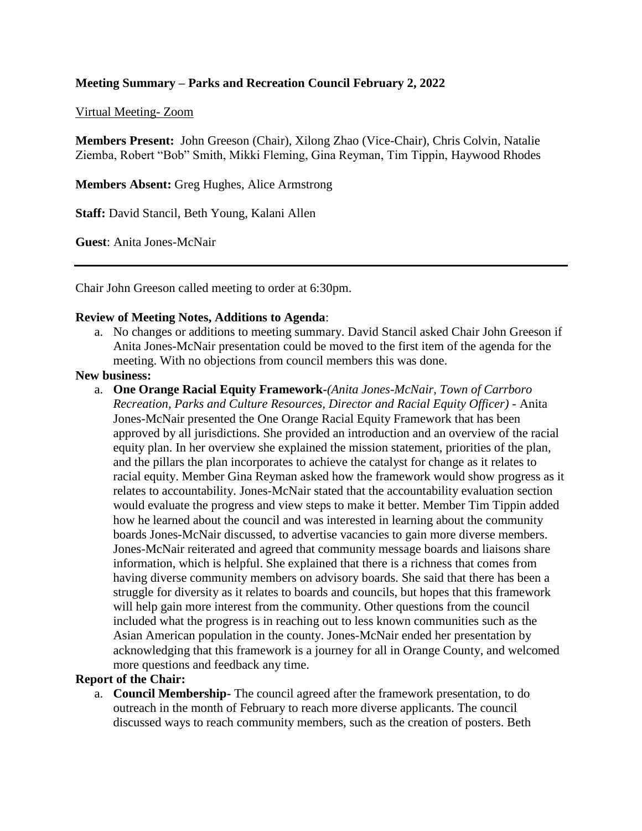# **Meeting Summary – Parks and Recreation Council February 2, 2022**

#### Virtual Meeting- Zoom

**Members Present:** John Greeson (Chair), Xilong Zhao (Vice-Chair), Chris Colvin, Natalie Ziemba, Robert "Bob" Smith, Mikki Fleming, Gina Reyman, Tim Tippin, Haywood Rhodes

**Members Absent:** Greg Hughes, Alice Armstrong

**Staff:** David Stancil, Beth Young, Kalani Allen

**Guest**: Anita Jones-McNair

Chair John Greeson called meeting to order at 6:30pm.

#### **Review of Meeting Notes, Additions to Agenda**:

a. No changes or additions to meeting summary. David Stancil asked Chair John Greeson if Anita Jones-McNair presentation could be moved to the first item of the agenda for the meeting. With no objections from council members this was done.

#### **New business:**

a. **One Orange Racial Equity Framework-***(Anita Jones-McNair, Town of Carrboro Recreation, Parks and Culture Resources, Director and Racial Equity Officer)* - Anita Jones-McNair presented the One Orange Racial Equity Framework that has been approved by all jurisdictions. She provided an introduction and an overview of the racial equity plan. In her overview she explained the mission statement, priorities of the plan, and the pillars the plan incorporates to achieve the catalyst for change as it relates to racial equity. Member Gina Reyman asked how the framework would show progress as it relates to accountability. Jones-McNair stated that the accountability evaluation section would evaluate the progress and view steps to make it better. Member Tim Tippin added how he learned about the council and was interested in learning about the community boards Jones-McNair discussed, to advertise vacancies to gain more diverse members. Jones-McNair reiterated and agreed that community message boards and liaisons share information, which is helpful. She explained that there is a richness that comes from having diverse community members on advisory boards. She said that there has been a struggle for diversity as it relates to boards and councils, but hopes that this framework will help gain more interest from the community. Other questions from the council included what the progress is in reaching out to less known communities such as the Asian American population in the county. Jones-McNair ended her presentation by acknowledging that this framework is a journey for all in Orange County, and welcomed more questions and feedback any time.

# **Report of the Chair:**

a. **Council Membership-** The council agreed after the framework presentation, to do outreach in the month of February to reach more diverse applicants. The council discussed ways to reach community members, such as the creation of posters. Beth